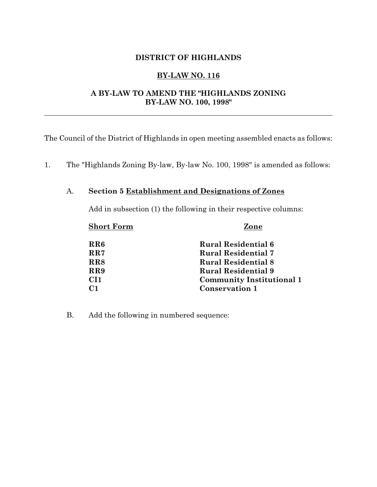# **DISTRICT OF HIGHLANDS**

# **BY-LAW NO. 116**

# **A BY-LAW TO AMEND THE "HIGHLANDS ZONING BY-LAW NO. 100, 1998"**

The Council of the District of Highlands in open meeting assembled enacts as follows:

1. The "Highlands Zoning By-law, By-law No. 100, 1998" is amended as follows:

# A. **Section 5 Establishment and Designations of Zones**

Add in subsection (1) the following in their respective columns:

**Short Form Zone**

| RR6             | <b>Rural Residential 6</b>       |
|-----------------|----------------------------------|
| RR7             | <b>Rural Residential 7</b>       |
| RR8             | <b>Rural Residential 8</b>       |
| RR9             | <b>Rural Residential 9</b>       |
| CI <sub>1</sub> | <b>Community Institutional 1</b> |
| C <sub>1</sub>  | <b>Conservation 1</b>            |

B. Add the following in numbered sequence: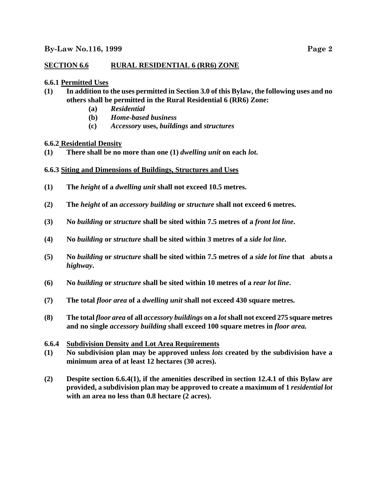# **SECTION 6.6 RURAL RESIDENTIAL 6 (RR6) ZONE**

## **6.6.1 Permitted Uses**

- **(1) In addition to the uses permitted in Section 3.0 of this Bylaw, the following uses and no others shall be permitted in the Rural Residential 6 (RR6) Zone:**
	- **(a)** *Residential*
	- **(b)** *Home-based business*
	- **(c)** *Accessory* **uses,** *buildings* **and** *structures*

## **6.6.2 Residential Density**

- **(1) There shall be no more than one (1)** *dwelling unit* **on each** *lot***.**
- **6.6.3 Siting and Dimensions of Buildings, Structures and Uses**
- **(1) The** *height* **of a** *dwelling unit* **shall not exceed 10.5 metres.**
- **(2) The** *height* **of an** *accessory building* **or** *structure* **shall not exceed 6 metres.**
- **(3) No** *building* **or** *structure* **shall be sited within 7.5 metres of a** *front lot line***.**
- **(4) No** *building* **or** *structure* **shall be sited within 3 metres of a** *side lot line***.**
- **(5) No** *building* **or** *structure* **shall be sited within 7.5 metres of a** *side lot line* **that abuts a** *highway***.**
- **(6) No** *building* **or** *structure* **shall be sited within 10 metres of a** *rear lot line***.**
- **(7) The total** *floor area* **of a** *dwelling unit* **shall not exceed 430 square metres.**
- **(8) The total** *floor area* **of all** *accessory buildings* **on a** *lot***shall not exceed 275 square metres and no single** *accessory building* **shall exceed 100 square metres in** *floor area.*

### **6.6.4 Subdivision Density and Lot Area Requirements**

- **(1) No subdivision plan may be approved unless** *lots* **created by the subdivision have a minimum area of at least 12 hectares (30 acres).**
- **(2) Despite section 6.6.4(1), if the amenities described in section 12.4.1 of this Bylaw are provided, a subdivision plan may be approved to create a maximum of 1** *residential lot* **with an area no less than 0.8 hectare (2 acres).**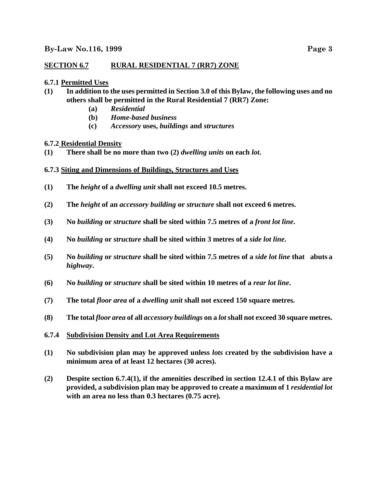# **SECTION 6.7 RURAL RESIDENTIAL 7 (RR7) ZONE**

## **6.7.1 Permitted Uses**

- **(1) In addition to the uses permitted in Section 3.0 of this Bylaw, the following uses and no others shall be permitted in the Rural Residential 7 (RR7) Zone:**
	- **(a)** *Residential*
	- **(b)** *Home-based business*
	- **(c)** *Accessory* **uses,** *buildings* **and** *structures*

## **6.7.2 Residential Density**

- **(1) There shall be no more than two (2)** *dwelling units* **on each** *lot***.**
- **6.7.3 Siting and Dimensions of Buildings, Structures and Uses**
- **(1) The** *height* **of a** *dwelling unit* **shall not exceed 10.5 metres.**
- **(2) The** *height* **of an** *accessory building* **or** *structure* **shall not exceed 6 metres.**
- **(3) No** *building* **or** *structure* **shall be sited within 7.5 metres of a** *front lot line***.**
- **(4) No** *building* **or** *structure* **shall be sited within 3 metres of a** *side lot line***.**
- **(5) No** *building* **or** *structure* **shall be sited within 7.5 metres of a** *side lot line* **that abuts a** *highway***.**
- **(6) No** *building* **or** *structure* **shall be sited within 10 metres of a** *rear lot line***.**
- **(7) The total** *floor area* **of a** *dwelling unit* **shall not exceed 150 square metres.**
- **(8) The total** *floor area* **of all** *accessory buildings* **on a** *lot***shall not exceed 30 square metres.**

### **6.7.4 Subdivision Density and Lot Area Requirements**

- **(1) No subdivision plan may be approved unless** *lots* **created by the subdivision have a minimum area of at least 12 hectares (30 acres).**
- **(2) Despite section 6.7.4(1), if the amenities described in section 12.4.1 of this Bylaw are provided, a subdivision plan may be approved to create a maximum of 1** *residential lot* **with an area no less than 0.3 hectares (0.75 acre).**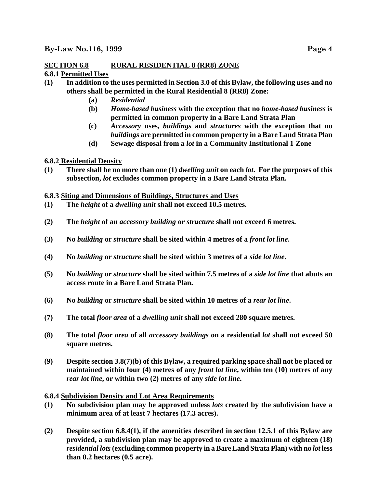## **SECTION 6.8 RURAL RESIDENTIAL 8 (RR8) ZONE 6.8.1 Permitted Uses**

- **(1) In addition to the uses permitted in Section 3.0 of this Bylaw, the following uses and no others shall be permitted in the Rural Residential 8 (RR8) Zone:**
	- **(a)** *Residential*
	- **(b)** *Home-based business* **with the exception that no** *home-based business* **is permitted in common property in a Bare Land Strata Plan**
	- **(c)** *Accessory* **uses,** *buildings* **and** *structures* **with the exception that no** *buildings* **are permitted in common property in a Bare Land Strata Plan**
	- **(d) Sewage disposal from a** *lot* **in a Community Institutional 1 Zone**

# **6.8.2 Residential Density**

**(1) There shall be no more than one (1)** *dwelling unit* **on each** *lot***. For the purposes of this subsection,** *lot* **excludes common property in a Bare Land Strata Plan.**

## **6.8.3 Siting and Dimensions of Buildings, Structures and Uses**

- **(1) The** *height* **of a** *dwelling unit* **shall not exceed 10.5 metres.**
- **(2) The** *height* **of an** *accessory building* **or** *structure* **shall not exceed 6 metres.**
- **(3) No** *building* **or** *structure* **shall be sited within 4 metres of a** *front lot line***.**
- **(4) No** *building* **or** *structure* **shall be sited within 3 metres of a** *side lot line***.**
- **(5) No** *building* **or** *structure* **shall be sited within 7.5 metres of a** *side lot line* **that abuts an access route in a Bare Land Strata Plan.**
- **(6) No** *building* **or** *structure* **shall be sited within 10 metres of a** *rear lot line***.**
- **(7) The total** *floor area* **of a** *dwelling unit* **shall not exceed 280 square metres.**
- **(8) The total** *floor area* **of all** *accessory buildings* **on a residential** *lot* **shall not exceed 50 square metres.**
- **(9) Despite section 3.8(7)(b) of this Bylaw, a required parking space shall not be placed or maintained within four (4) metres of any** *front lot line***, within ten (10) metres of any** *rear lot line***, or within two (2) metres of any** *side lot line***.**

### **6.8.4 Subdivision Density and Lot Area Requirements**

- **(1) No subdivision plan may be approved unless** *lots* **created by the subdivision have a minimum area of at least 7 hectares (17.3 acres).**
- **(2) Despite section 6.8.4(1), if the amenities described in section 12.5.1 of this Bylaw are provided, a subdivision plan may be approved to create a maximum of eighteen (18)** *residential lots***(excluding common property in a Bare Land Strata Plan) with no** *lot* **less than 0.2 hectares (0.5 acre).**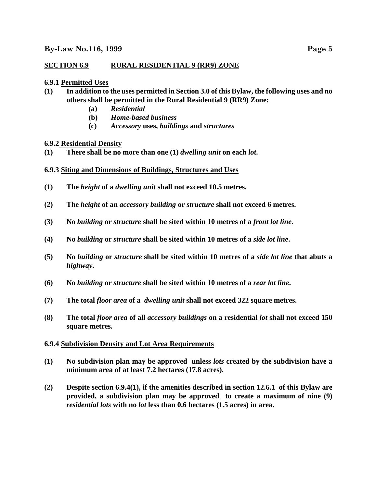# **SECTION 6.9 RURAL RESIDENTIAL 9 (RR9) ZONE**

## **6.9.1 Permitted Uses**

- **(1) In addition to the uses permitted in Section 3.0 of this Bylaw, the following uses and no others shall be permitted in the Rural Residential 9 (RR9) Zone:**
	- **(a)** *Residential*
	- **(b)** *Home-based business*
	- **(c)** *Accessory* **uses,** *buildings* **and** *structures*

## **6.9.2 Residential Density**

- **(1) There shall be no more than one (1)** *dwelling unit* **on each** *lot***.**
- **6.9.3 Siting and Dimensions of Buildings, Structures and Uses**
- **(1) The** *height* **of a** *dwelling unit* **shall not exceed 10.5 metres.**
- **(2) The** *height* **of an** *accessory building* **or** *structure* **shall not exceed 6 metres.**
- **(3) No** *building* **or** *structure* **shall be sited within 10 metres of a** *front lot line***.**
- **(4) No** *building* **or** *structure* **shall be sited within 10 metres of a** *side lot line***.**
- **(5) No** *building* **or** *structure* **shall be sited within 10 metres of a** *side lot line* **that abuts a** *highway***.**
- **(6) No** *building* **or** *structure* **shall be sited within 10 metres of a** *rear lot line***.**
- **(7) The total** *floor area* **of a** *dwelling unit* **shall not exceed 322 square metres.**
- **(8) The total** *floor area* **of all** *accessory buildings* **on a residential** *lot* **shall not exceed 150 square metres.**

### **6.9.4 Subdivision Density and Lot Area Requirements**

- **(1) No subdivision plan may be approved unless** *lots* **created by the subdivision have a minimum area of at least 7.2 hectares (17.8 acres).**
- **(2) Despite section 6.9.4(1), if the amenities described in section 12.6.1 of this Bylaw are provided, a subdivision plan may be approved to create a maximum of nine (9)** *residential lots* **with no** *lot* **less than 0.6 hectares (1.5 acres) in area.**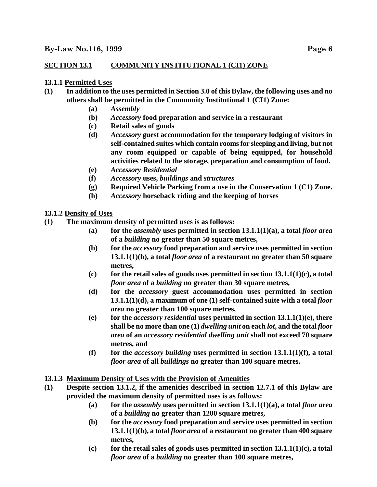# **SECTION 13.1 COMMUNITY INSTITUTIONAL 1 (CI1) ZONE**

### **13.1.1 Permitted Uses**

- **(1) In addition to the uses permitted in Section 3.0 of this Bylaw, the following uses and no others shall be permitted in the Community Institutional 1 (CI1) Zone:**
	- **(a)** *Assembly*
	- **(b)** *Accessory* **food preparation and service in a restaurant**
	- **(c) Retail sales of goods**
	- **(d)** *Accessory* **guest accommodation for the temporary lodging of visitors in self-contained suites which contain rooms for sleeping and living, but not any room equipped or capable of being equipped, for household activities related to the storage, preparation and consumption of food.**
	- **(e)** *Accessory Residential*
	- **(f)** *Accessory* **uses,** *buildings* **and** *structures*
	- **(g) Required Vehicle Parking from a use in the Conservation 1 (C1) Zone.**
	- **(h)** *Accessory* **horseback riding and the keeping of horses**

## **13.1.2 Density of Uses**

- **(1) The maximum density of permitted uses is as follows:**
	- **(a) for the** *assembly* **uses permitted in section 13.1.1(1)(a), a total** *floor area* **of a** *building* **no greater than 50 square metres,**
	- **(b) for the** *accessory* **food preparation and service uses permitted in section 13.1.1(1)(b), a total** *floor area* **of a restaurant no greater than 50 square metres,**
	- **(c) for the retail sales of goods uses permitted in section 13.1.1(1)(c), a total** *floor area* **of a** *building* **no greater than 30 square metres,**
	- **(d) for the** *accessory* **guest accommodation uses permitted in section 13.1.1(1)(d), a maximum of one (1) self-contained suite with a total** *floor area* **no greater than 100 square metres,**
	- **(e) for the** *accessory residential* **uses permitted in section 13.1.1(1)(e), there shall be no more than one (1)** *dwelling unit* **on each** *lot***, and the total** *floor area* **of an** *accessory residential dwelling unit* **shall not exceed 70 square metres, and**
	- **(f) for the** *accessory building* **uses permitted in section 13.1.1(1)(f), a total** *floor area* **of all** *buildings* **no greater than 100 square metres.**

### **13.1.3 Maximum Density of Uses with the Provision of Amenities**

- **(1) Despite section 13.1.2, if the amenities described in section 12.7.1 of this Bylaw are provided the maximum density of permitted uses is as follows:**
	- **(a) for the** *assembly* **uses permitted in section 13.1.1(1)(a), a total** *floor area* **of a** *building* **no greater than 1200 square metres,**
	- **(b) for the** *accessory* **food preparation and service uses permitted in section 13.1.1(1)(b), a total** *floor area* **of a restaurant no greater than 400 square metres,**
	- **(c) for the retail sales of goods uses permitted in section 13.1.1(1)(c), a total** *floor area* **of a** *building* **no greater than 100 square metres,**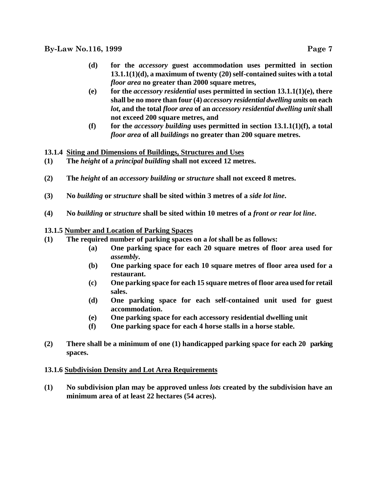- **(d) for the** *accessory* **guest accommodation uses permitted in section 13.1.1(1)(d), a maximum of twenty (20) self-contained suites with a total** *floor area* **no greater than 2000 square metres,**
- **(e) for the** *accessory residential* **uses permitted in section 13.1.1(1)(e), there shall be no more than four (4)** *accessory residential dwelling units* **on each** *lot***, and the total** *floor area* **of an** *accessory residential dwelling unit* **shall not exceed 200 square metres, and**
- **(f) for the** *accessory building* **uses permitted in section 13.1.1(1)(f), a total** *floor area* **of all** *buildings* **no greater than 200 square metres.**
- **13.1.4 Siting and Dimensions of Buildings, Structures and Uses**
- **(1) The** *height* **of a** *principal building* **shall not exceed 12 metres.**
- **(2) The** *height* **of an** *accessory building* **or** *structure* **shall not exceed 8 metres.**
- **(3) No** *building* **or** *structure* **shall be sited within 3 metres of a** *side lot line***.**
- **(4) No** *building* **or** *structure* **shall be sited within 10 metres of a** *front or rear lot line***.**

## **13.1.5 Number and Location of Parking Spaces**

- **(1) The required number of parking spaces on a** *lot* **shall be as follows:**
	- **(a) One parking space for each 20 square metres of floor area used for** *assembly***.**
	- **(b) One parking space for each 10 square metres of floor area used for a restaurant.**
	- **(c) One parking space for each 15 square metres of floor area used for retail sales.**
	- **(d) One parking space for each self-contained unit used for guest accommodation.**
	- **(e) One parking space for each accessory residential dwelling unit**
	- **(f) One parking space for each 4 horse stalls in a horse stable.**
- **(2) There shall be a minimum of one (1) handicapped parking space for each 20 parking spaces.**

### **13.1.6 Subdivision Density and Lot Area Requirements**

**(1) No subdivision plan may be approved unless** *lots* **created by the subdivision have an minimum area of at least 22 hectares (54 acres).**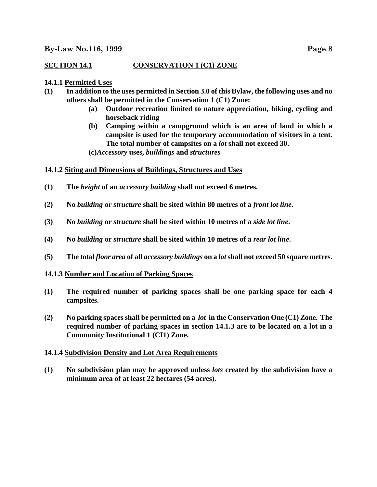# **SECTION 14.1 CONSERVATION 1 (C1) ZONE**

## **14.1.1 Permitted Uses**

- **(1) In addition to the uses permitted in Section 3.0 of this Bylaw, the following uses and no others shall be permitted in the Conservation 1 (C1) Zone:**
	- **(a) Outdoor recreation limited to nature appreciation, hiking, cycling and horseback riding**
	- **(b) Camping within a campground which is an area of land in which a campsite is used for the temporary accommodation of visitors in a tent. The total number of campsites on a** *lot* **shall not exceed 30.**

**(c)***Accessory* **uses,** *buildings* **and** *structures*

## **14.1.2 Siting and Dimensions of Buildings, Structures and Uses**

- **(1) The** *height* **of an** *accessory building* **shall not exceed 6 metres.**
- **(2) No** *building* **or** *structure* **shall be sited within 80 metres of a** *front lot line***.**
- **(3) No** *building* **or** *structure* **shall be sited within 10 metres of a** *side lot line***.**
- **(4) No** *building* **or** *structure* **shall be sited within 10 metres of a** *rear lot line***.**
- **(5) The total** *floor area* **of all** *accessory buildings* **on a** *lot***shall not exceed 50 square metres.**

### **14.1.3 Number and Location of Parking Spaces**

- **(1) The required number of parking spaces shall be one parking space for each 4 campsites.**
- **(2) No parking spaces shall be permitted on a** *lot* **in the Conservation One (C1) Zone. The required number of parking spaces in section 14.1.3 are to be located on a lot in a Community Institutional 1 (CI1) Zone.**

### **14.1.4 Subdivision Density and Lot Area Requirements**

**(1) No subdivision plan may be approved unless** *lots* **created by the subdivision have a minimum area of at least 22 hectares (54 acres).**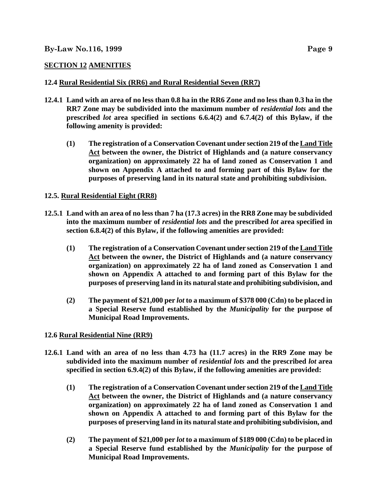# **SECTION 12 AMENITIES**

# **12.4 Rural Residential Six (RR6) and Rural Residential Seven (RR7)**

- **12.4.1 Land with an area of no less than 0.8 ha in the RR6 Zone and no less than 0.3 ha in the RR7 Zone may be subdivided into the maximum number of** *residential lots* **and the prescribed** *lot* **area specified in sections 6.6.4(2) and 6.7.4(2) of this Bylaw, if the following amenity is provided:**
	- **(1) The registration of a Conservation Covenant under section 219 of theLand Title Act between the owner, the District of Highlands and (a nature conservancy organization) on approximately 22 ha of land zoned as Conservation 1 and shown on Appendix A attached to and forming part of this Bylaw for the purposes of preserving land in its natural state and prohibiting subdivision.**

# **12.5. Rural Residential Eight (RR8)**

- **12.5.1 Land with an area of no less than 7 ha (17.3 acres) in the RR8 Zone may be subdivided into the maximum number of** *residential lots* **and the prescribed** *lot* **area specified in section 6.8.4(2) of this Bylaw, if the following amenities are provided:**
	- **(1) The registration of a Conservation Covenant under section 219 of theLand Title Act between the owner, the District of Highlands and (a nature conservancy organization) on approximately 22 ha of land zoned as Conservation 1 and shown on Appendix A attached to and forming part of this Bylaw for the purposes of preserving land in its natural state and prohibiting subdivision, and**
	- **(2) The payment of \$21,000 per** *lot* **to a maximum of \$378 000 (Cdn) to be placed in a Special Reserve fund established by the** *Municipality* **for the purpose of Municipal Road Improvements.**

# **12.6 Rural Residential Nine (RR9)**

- **12.6.1 Land with an area of no less than 4.73 ha (11.7 acres) in the RR9 Zone may be subdivided into the maximum number of** *residential lots* **and the prescribed** *lot* **area specified in section 6.9.4(2) of this Bylaw, if the following amenities are provided:**
	- **(1) The registration of a Conservation Covenant under section 219 of theLand Title Act between the owner, the District of Highlands and (a nature conservancy organization) on approximately 22 ha of land zoned as Conservation 1 and shown on Appendix A attached to and forming part of this Bylaw for the purposes of preserving land in its natural state and prohibiting subdivision, and**
	- **(2) The payment of \$21,000 per** *lot* **to a maximum of \$189 000 (Cdn) to be placed in a Special Reserve fund established by the** *Municipality* **for the purpose of Municipal Road Improvements.**